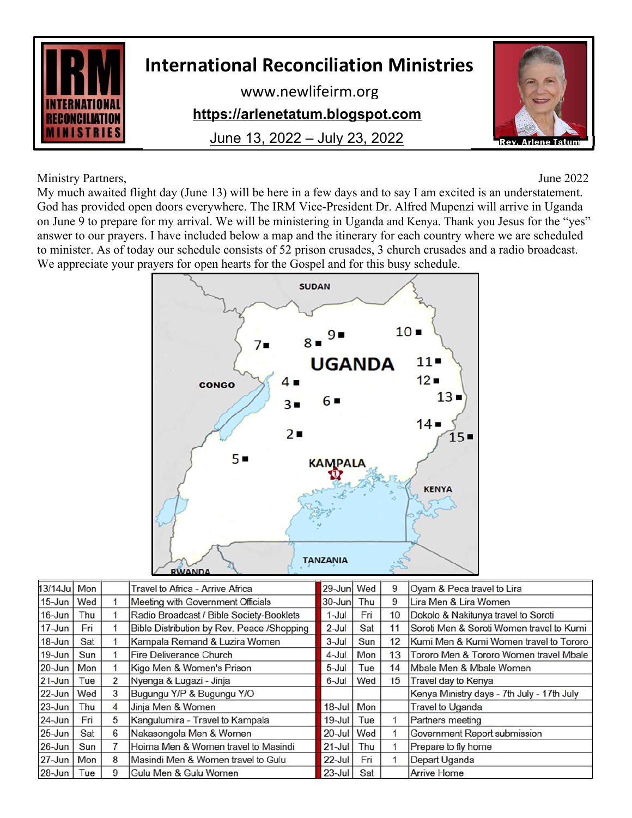

## **International Reconciliation Ministries**

www.newlifeirm.org

## **https://arlenetatum.blogspot.com**

June 13, 2022 – July 23, 2022



Ministry Partners, June 2022

My much awaited flight day (June 13) will be here in a few days and to say I am excited is an understatement. God has provided open doors everywhere. The IRM Vice-President Dr. Alfred Mupenzi will arrive in Uganda on June 9 to prepare for my arrival. We will be ministering in Uganda and Kenya. Thank you Jesus for the "yes" answer to our prayers. I have included below a map and the itinerary for each country where we are scheduled to minister. As of today our schedule consists of 52 prison crusades, 3 church crusades and a radio broadcast. We appreciate your prayers for open hearts for the Gospel and for this busy schedule.



| $13/14$ Ju | Mon |   | Travel to Africa - Arrive Africa           | 29-Junl    | Wed | 9  | Oyam & Peca travel to Lira                 |
|------------|-----|---|--------------------------------------------|------------|-----|----|--------------------------------------------|
| $15$ -Jun  | Wed |   | Meeting with Government Officials          | $30 - Jun$ | Thu | 9  | Lira Men & Lira Women                      |
| $16$ -Jun  | Thu |   | Radio Broadcast / Bible Society-Booklets   | $1$ -Jul   | Fri | 10 | Dokolo & Nakitunya travel to Soroti        |
| 17-Jun     | Fri |   | Bible Distribution by Rev. Peace /Shopping | $2$ -Jul   | Sat | 11 | Soroti Men & Soroti Women travel to Kumi   |
| $18 - Jun$ | Sat |   | Kampala Remand & Luzira Women              | $3$ -Jul   | Sun | 12 | Kumi Men & Kumi Women travel to Tororo     |
| $19 - Jun$ | Sun |   | Fire Deliverance Church                    | 4-Jul      | Mon | 13 | Tororo Men & Tororo Women travel Mbale     |
| $20 - Jun$ | Mon |   | Kigo Men & Women's Prison                  | $5$ -Jul   | Tue | 14 | Mbale Men & Mbale Women                    |
| $21 - Jun$ | Tue | 2 | Nyenga & Lugazi - Jinja                    | 6-Jul      | Wed | 15 | Travel day to Kenya                        |
| $22$ -Jun  | Wed | 3 | Bugungu Y/P & Bugungu Y/O                  |            |     |    | Kenya Ministry days - 7th July - 17th July |
| $23 - Jun$ | Thu | 4 | Jinja Men & Women                          | $18$ -Jul  | Mon |    | <b>Travel to Uganda</b>                    |
| $24$ -Jun  | Fri | 5 | Kangulumira - Travel to Kampala            | $19$ -Jul  | Tue |    | Partners meeting                           |
| $25$ -Jun  | Sat | 6 | Nakasongola Men & Women                    | $20 -$ Jul | Wed | 1  | Government Report submission               |
| 26-Jun     | Sun | 7 | Hoima Men & Women travel to Masindi        | $21 -$ Jul | Thu |    | Prepare to fly home                        |
| 27-Jun     | Mon | 8 | Masindi Men & Women travel to Gulu         | $22$ -Jul  | Fri |    | Depart Uganda                              |
| $28 - Jun$ | Tue | 9 | Gulu Men & Gulu Women                      | $23$ -Jul  | Sat |    | <b>Arrive Home</b>                         |